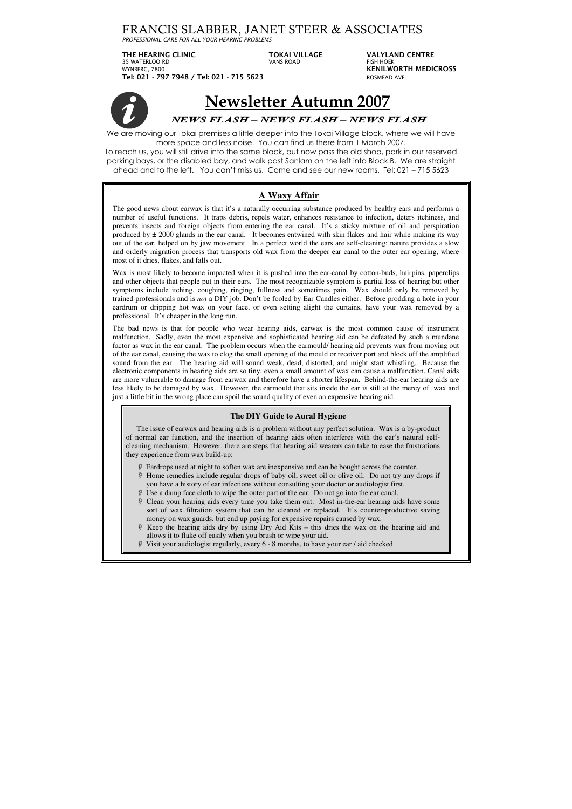## FRANCIS SLABBER, JANET STEER & ASSOCIATES

*PROFESSIONAL CARE FOR ALL YOUR HEARING PROBLEMS*

**THE HEARING CLINIC TOKAI VILLAGE VALYLAND CENTRE**  35 WATERLOO RD VANS ROAD FISH HOEK WYNBERG, 7800 **KENILWORTH MEDICROSS Tel: 021 - 797 7948 / Tel: 021 - 715 5623** ROSMEAD AVE



# **Newsletter Autumn 2007**

### *NEWS FLASH – NEWS FLASH – NEWS FLASH*

We are moving our Tokai premises a little deeper into the Tokai Village block, where we will have more space and less noise. You can find us there from 1 March 2007.

To reach us, you will still drive into the same block, but now pass the old shop, park in our reserved parking bays, or the disabled bay, and walk past Sanlam on the left into Block B. We are straight ahead and to the left. You can't miss us. Come and see our new rooms. Tel: 021 – 715 5623

## **A Waxy Affair**

Wax is most likely to become impacted when it is pushed into the ear-canal by cotton-buds, hairpins, paperclips and other objects that people put in their ears. The most recognizable symptom is partial loss of hearing but other symptoms include itching, coughing, ringing, fullness and sometimes pain. Wax should only be removed by trained professionals and is *not* a DIY job. Don't be fooled by Ear Candles either. Before prodding a hole in your eardrum or dripping hot wax on your face, or even setting alight the curtains, have your wax removed by a professional. It's cheaper in the long run.

The good news about earwax is that it's a naturally occurring substance produced by healthy ears and performs a number of useful functions. It traps debris, repels water, enhances resistance to infection, deters itchiness, and prevents insects and foreign objects from entering the ear canal. It's a sticky mixture of oil and perspiration produced by  $\pm$  2000 glands in the ear canal. It becomes entwined with skin flakes and hair while making its way out of the ear, helped on by jaw movement. In a perfect world the ears are self-cleaning; nature provides a slow and orderly migration process that transports old wax from the deeper ear canal to the outer ear opening, where most of it dries, flakes, and falls out.

The bad news is that for people who wear hearing aids, earwax is the most common cause of instrument malfunction. Sadly, even the most expensive and sophisticated hearing aid can be defeated by such a mundane factor as wax in the ear canal. The problem occurs when the earmould/ hearing aid prevents wax from moving out of the ear canal, causing the wax to clog the small opening of the mould or receiver port and block off the amplified sound from the ear. The hearing aid will sound weak, dead, distorted, and might start whistling. Because the electronic components in hearing aids are so tiny, even a small amount of wax can cause a malfunction. Canal aids are more vulnerable to damage from earwax and therefore have a shorter lifespan. Behind-the-ear hearing aids are less likely to be damaged by wax. However, the earmould that sits inside the ear is still at the mercy of wax and just a little bit in the wrong place can spoil the sound quality of even an expensive hearing aid.

#### **The DIY Guide to Aural Hygiene**

The issue of earwax and hearing aids is a problem without any perfect solution. Wax is a by-product of normal ear function, and the insertion of hearing aids often interferes with the ear's natural selfcleaning mechanism. However, there are steps that hearing aid wearers can take to ease the frustrations they experience from wax build-up:

- Eardrops used at night to soften wax are inexpensive and can be bought across the counter.
- Home remedies include regular drops of baby oil, sweet oil or olive oil. Do not try any drops if you have a history of ear infections without consulting your doctor or audiologist first.
- Use a damp face cloth to wipe the outer part of the ear. Do not go into the ear canal.
- Clean your hearing aids every time you take them out. Most in-the-ear hearing aids have some sort of wax filtration system that can be cleaned or replaced. It's counter-productive saving money on wax guards, but end up paying for expensive repairs caused by wax.
- Keep the hearing aids dry by using Dry Aid Kits this dries the wax on the hearing aid and allows it to flake off easily when you brush or wipe your aid.
- Visit your audiologist regularly, every 6 8 months, to have your ear / aid checked.